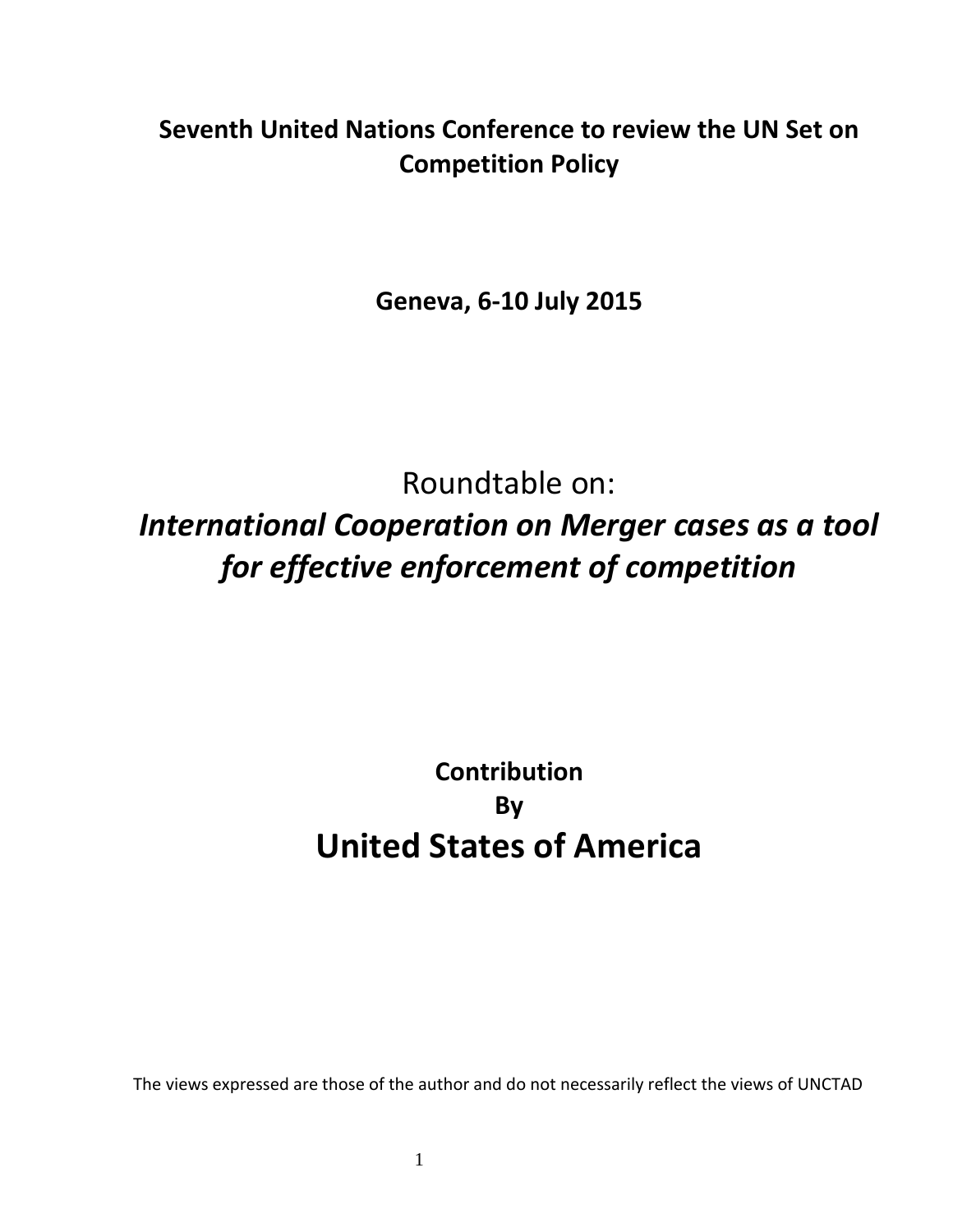# **Seventh United Nations Conference to review the UN Set on Competition Policy**

**Geneva, 6-10 July 2015**

Roundtable on: *International Cooperation on Merger cases as a tool for effective enforcement of competition*

# **Contribution By United States of America**

The views expressed are those of the author and do not necessarily reflect the views of UNCTAD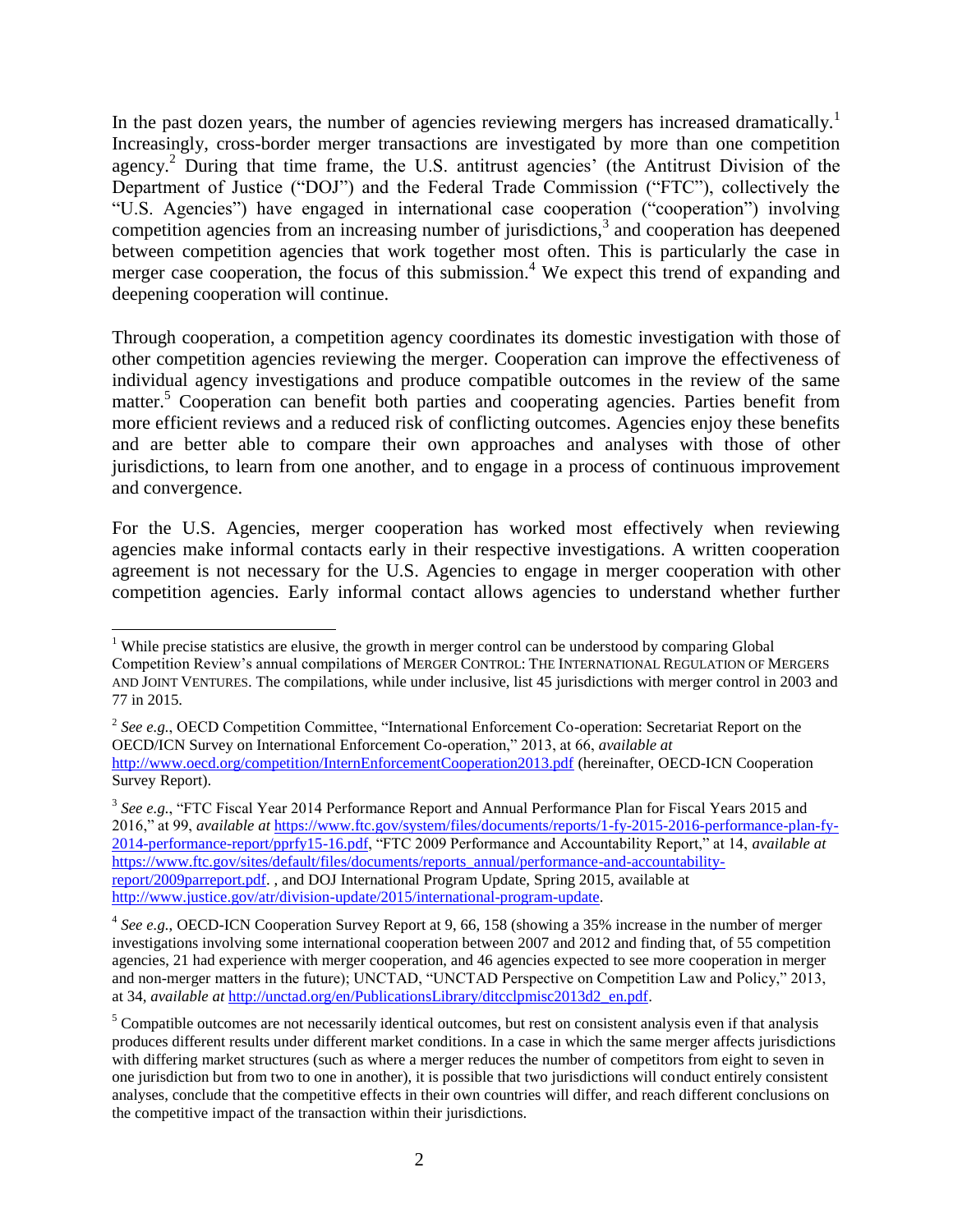In the past dozen years, the number of agencies reviewing mergers has increased dramatically.<sup>1</sup> Increasingly, cross-border merger transactions are investigated by more than one competition agency.<sup>2</sup> During that time frame, the U.S. antitrust agencies' (the Antitrust Division of the Department of Justice ("DOJ") and the Federal Trade Commission ("FTC"), collectively the "U.S. Agencies") have engaged in international case cooperation ("cooperation") involving competition agencies from an increasing number of jurisdictions,<sup>3</sup> and cooperation has deepened between competition agencies that work together most often. This is particularly the case in merger case cooperation, the focus of this submission.<sup>4</sup> We expect this trend of expanding and deepening cooperation will continue.

Through cooperation, a competition agency coordinates its domestic investigation with those of other competition agencies reviewing the merger. Cooperation can improve the effectiveness of individual agency investigations and produce compatible outcomes in the review of the same matter.<sup>5</sup> Cooperation can benefit both parties and cooperating agencies. Parties benefit from more efficient reviews and a reduced risk of conflicting outcomes. Agencies enjoy these benefits and are better able to compare their own approaches and analyses with those of other jurisdictions, to learn from one another, and to engage in a process of continuous improvement and convergence.

For the U.S. Agencies, merger cooperation has worked most effectively when reviewing agencies make informal contacts early in their respective investigations. A written cooperation agreement is not necessary for the U.S. Agencies to engage in merger cooperation with other competition agencies. Early informal contact allows agencies to understand whether further

 $\overline{\phantom{a}}$ <sup>1</sup> While precise statistics are elusive, the growth in merger control can be understood by comparing Global Competition Review's annual compilations of MERGER CONTROL: THE INTERNATIONAL REGULATION OF MERGERS AND JOINT VENTURES. The compilations, while under inclusive, list 45 jurisdictions with merger control in 2003 and 77 in 2015.

<sup>2</sup> *See e.g.*, OECD Competition Committee, "International Enforcement Co-operation: Secretariat Report on the OECD/ICN Survey on International Enforcement Co-operation," 2013, at 66, *available at* <http://www.oecd.org/competition/InternEnforcementCooperation2013.pdf> (hereinafter, OECD-ICN Cooperation Survey Report).

<sup>3</sup> *See e.g.*, "FTC Fiscal Year 2014 Performance Report and Annual Performance Plan for Fiscal Years 2015 and 2016," at 99, *available at* [https://www.ftc.gov/system/files/documents/reports/1-fy-2015-2016-performance-plan-fy-](https://www.ftc.gov/system/files/documents/reports/1-fy-2015-2016-performance-plan-fy-2014-performance-report/pprfy15-16.pdf)[2014-performance-report/pprfy15-16.pdf,](https://www.ftc.gov/system/files/documents/reports/1-fy-2015-2016-performance-plan-fy-2014-performance-report/pprfy15-16.pdf) "FTC 2009 Performance and Accountability Report," at 14, *available at* [https://www.ftc.gov/sites/default/files/documents/reports\\_annual/performance-and-accountability](https://www.ftc.gov/sites/default/files/documents/reports_annual/performance-and-accountability-report/2009parreport.pdf)[report/2009parreport.pdf.](https://www.ftc.gov/sites/default/files/documents/reports_annual/performance-and-accountability-report/2009parreport.pdf) , and DOJ International Program Update, Spring 2015, available at [http://www.justice.gov/atr/division-update/2015/international-program-update.](http://www.justice.gov/atr/division-update/2015/international-program-update)

<sup>&</sup>lt;sup>4</sup> See e.g., OECD-ICN Cooperation Survey Report at 9, 66, 158 (showing a 35% increase in the number of merger investigations involving some international cooperation between 2007 and 2012 and finding that, of 55 competition agencies, 21 had experience with merger cooperation, and 46 agencies expected to see more cooperation in merger and non-merger matters in the future); UNCTAD, "UNCTAD Perspective on Competition Law and Policy," 2013, at 34, *available at* [http://unctad.org/en/PublicationsLibrary/ditcclpmisc2013d2\\_en.pdf.](http://unctad.org/en/PublicationsLibrary/ditcclpmisc2013d2_en.pdf)

<sup>&</sup>lt;sup>5</sup> Compatible outcomes are not necessarily identical outcomes, but rest on consistent analysis even if that analysis produces different results under different market conditions. In a case in which the same merger affects jurisdictions with differing market structures (such as where a merger reduces the number of competitors from eight to seven in one jurisdiction but from two to one in another), it is possible that two jurisdictions will conduct entirely consistent analyses, conclude that the competitive effects in their own countries will differ, and reach different conclusions on the competitive impact of the transaction within their jurisdictions.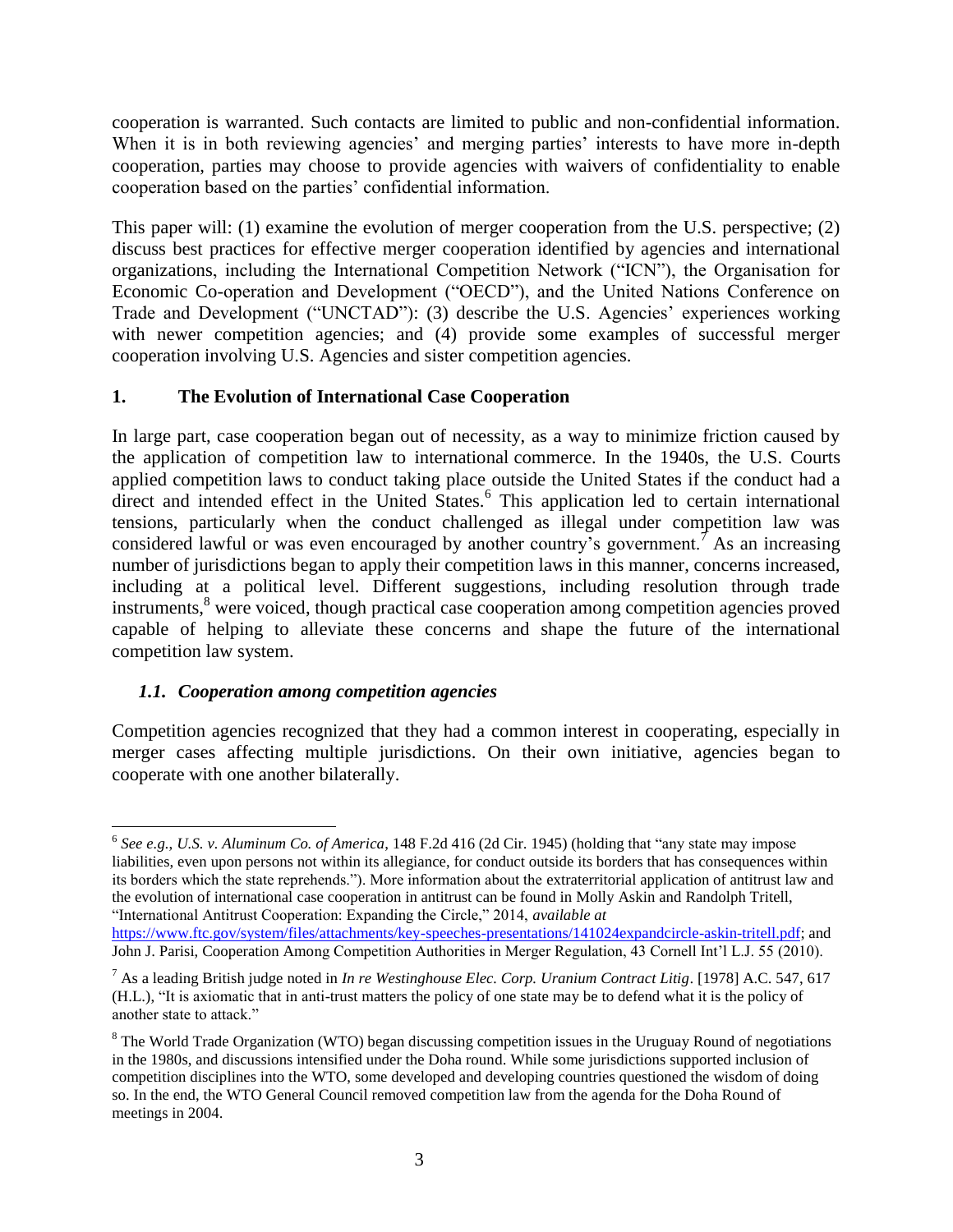cooperation is warranted. Such contacts are limited to public and non-confidential information. When it is in both reviewing agencies' and merging parties' interests to have more in-depth cooperation, parties may choose to provide agencies with waivers of confidentiality to enable cooperation based on the parties' confidential information.

This paper will: (1) examine the evolution of merger cooperation from the U.S. perspective; (2) discuss best practices for effective merger cooperation identified by agencies and international organizations, including the International Competition Network ("ICN"), the Organisation for Economic Co-operation and Development ("OECD"), and the United Nations Conference on Trade and Development ("UNCTAD"): (3) describe the U.S. Agencies' experiences working with newer competition agencies; and (4) provide some examples of successful merger cooperation involving U.S. Agencies and sister competition agencies.

#### **1. The Evolution of International Case Cooperation**

In large part, case cooperation began out of necessity, as a way to minimize friction caused by the application of competition law to international commerce. In the 1940s, the U.S. Courts applied competition laws to conduct taking place outside the United States if the conduct had a direct and intended effect in the United States.<sup>6</sup> This application led to certain international tensions, particularly when the conduct challenged as illegal under competition law was considered lawful or was even encouraged by another country's government.<sup>7</sup> As an increasing number of jurisdictions began to apply their competition laws in this manner, concerns increased, including at a political level. Different suggestions, including resolution through trade instruments,<sup>8</sup> were voiced, though practical case cooperation among competition agencies proved capable of helping to alleviate these concerns and shape the future of the international competition law system.

## *1.1. Cooperation among competition agencies*

Competition agencies recognized that they had a common interest in cooperating, especially in merger cases affecting multiple jurisdictions. On their own initiative, agencies began to cooperate with one another bilaterally.

l 6 *See e.g.*, *U.S. v. Aluminum Co. of America*, 148 F.2d 416 (2d Cir. 1945) (holding that "any state may impose liabilities, even upon persons not within its allegiance, for conduct outside its borders that has consequences within its borders which the state reprehends."). More information about the extraterritorial application of antitrust law and the evolution of international case cooperation in antitrust can be found in Molly Askin and Randolph Tritell, "International Antitrust Cooperation: Expanding the Circle," 2014, *available at*

[https://www.ftc.gov/system/files/attachments/key-speeches-presentations/141024expandcircle-askin-tritell.pdf;](https://www.ftc.gov/system/files/attachments/key-speeches-presentations/141024expandcircle-askin-tritell.pdf) and John J. Parisi, Cooperation Among Competition Authorities in Merger Regulation, 43 Cornell Int'l L.J. 55 (2010).

<sup>7</sup> As a leading British judge noted in *In re Westinghouse Elec. Corp. Uranium Contract Litig*. [1978] A.C. 547, 617 (H.L.), "It is axiomatic that in anti-trust matters the policy of one state may be to defend what it is the policy of another state to attack."

<sup>&</sup>lt;sup>8</sup> The World Trade Organization (WTO) began discussing competition issues in the Uruguay Round of negotiations in the 1980s, and discussions intensified under the Doha round. While some jurisdictions supported inclusion of competition disciplines into the WTO, some developed and developing countries questioned the wisdom of doing so. In the end, the WTO General Council removed competition law from the agenda for the Doha Round of meetings in 2004.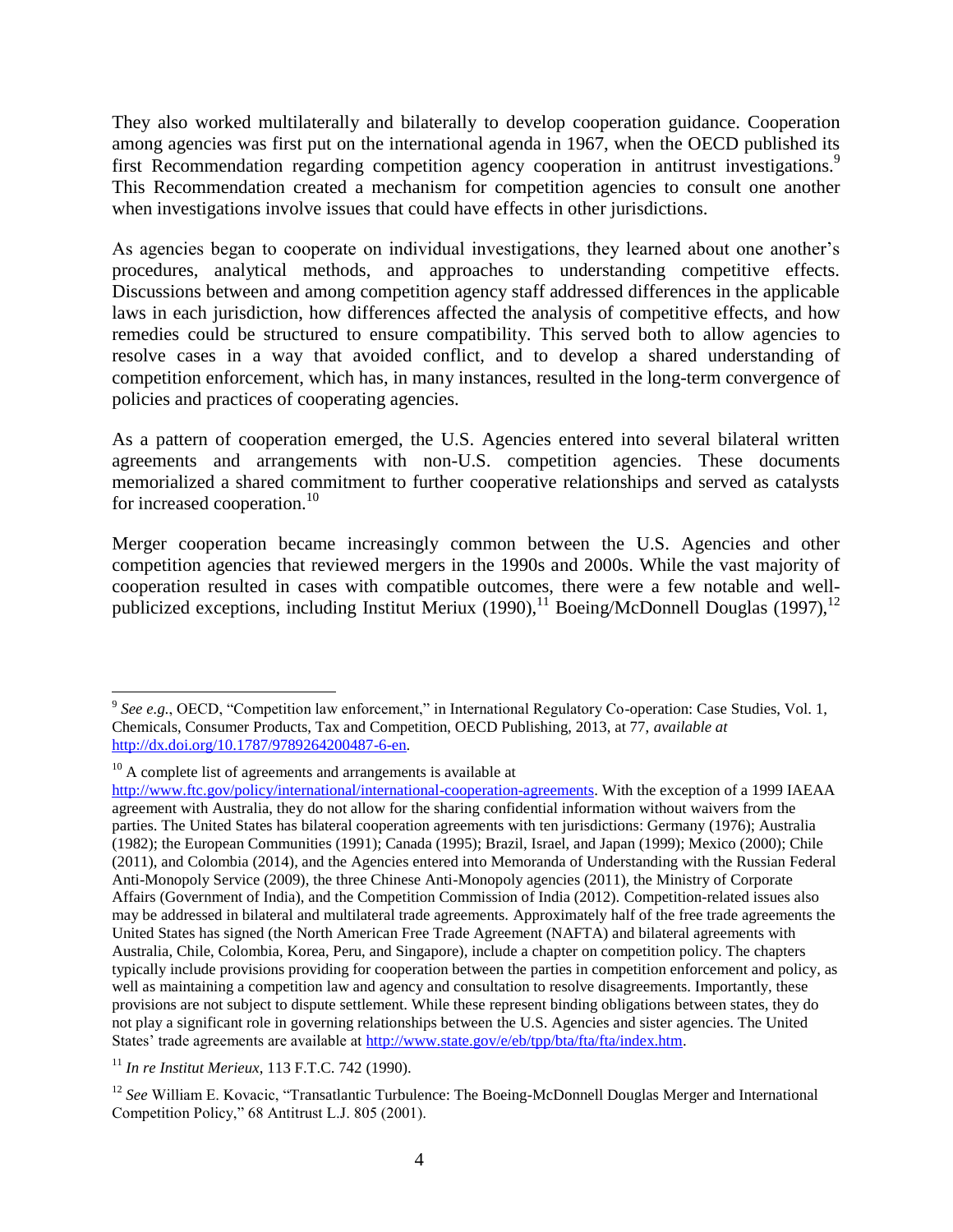They also worked multilaterally and bilaterally to develop cooperation guidance. Cooperation among agencies was first put on the international agenda in 1967, when the OECD published its first Recommendation regarding competition agency cooperation in antitrust investigations.<sup>9</sup> This Recommendation created a mechanism for competition agencies to consult one another when investigations involve issues that could have effects in other jurisdictions.

As agencies began to cooperate on individual investigations, they learned about one another's procedures, analytical methods, and approaches to understanding competitive effects. Discussions between and among competition agency staff addressed differences in the applicable laws in each jurisdiction, how differences affected the analysis of competitive effects, and how remedies could be structured to ensure compatibility. This served both to allow agencies to resolve cases in a way that avoided conflict, and to develop a shared understanding of competition enforcement, which has, in many instances, resulted in the long-term convergence of policies and practices of cooperating agencies.

As a pattern of cooperation emerged, the U.S. Agencies entered into several bilateral written agreements and arrangements with non-U.S. competition agencies. These documents memorialized a shared commitment to further cooperative relationships and served as catalysts for increased cooperation.<sup>10</sup>

Merger cooperation became increasingly common between the U.S. Agencies and other competition agencies that reviewed mergers in the 1990s and 2000s. While the vast majority of cooperation resulted in cases with compatible outcomes, there were a few notable and wellpublicized exceptions, including Institut Meriux (1990),  $11$  Boeing/McDonnell Douglas (1997),  $12$ 

 $10$  A complete list of agreements and arrangements is available at

<sup>&</sup>lt;sup>9</sup> See e.g., OECD, "Competition law enforcement," in International Regulatory Co-operation: Case Studies, Vol. 1, Chemicals, Consumer Products, Tax and Competition, OECD Publishing, 2013, at 77, *available at* [http://dx.doi.org/10.1787/9789264200487-6-en.](http://dx.doi.org/10.1787/9789264200487-6-en)

[http://www.ftc.gov/policy/international/international-cooperation-agreements.](http://www.ftc.gov/policy/international/international-cooperation-agreements) With the exception of a 1999 IAEAA agreement with Australia, they do not allow for the sharing confidential information without waivers from the parties. The United States has bilateral cooperation agreements with ten jurisdictions: Germany (1976); Australia (1982); the European Communities (1991); Canada (1995); Brazil, Israel, and Japan (1999); Mexico (2000); Chile (2011), and Colombia (2014), and the Agencies entered into Memoranda of Understanding with the Russian Federal Anti-Monopoly Service (2009), the three Chinese Anti-Monopoly agencies (2011), the Ministry of Corporate Affairs (Government of India), and the Competition Commission of India (2012). Competition-related issues also may be addressed in bilateral and multilateral trade agreements. Approximately half of the free trade agreements the United States has signed (the North American Free Trade Agreement (NAFTA) and bilateral agreements with Australia, Chile, Colombia, Korea, Peru, and Singapore), include a chapter on competition policy. The chapters typically include provisions providing for cooperation between the parties in competition enforcement and policy, as well as maintaining a competition law and agency and consultation to resolve disagreements. Importantly, these provisions are not subject to dispute settlement. While these represent binding obligations between states, they do not play a significant role in governing relationships between the U.S. Agencies and sister agencies. The United States' trade agreements are available at [http://www.state.gov/e/eb/tpp/bta/fta/fta/index.htm.](http://www.state.gov/e/eb/tpp/bta/fta/fta/index.htm)

<sup>11</sup> *In re Institut Merieux*, 113 F.T.C. 742 (1990).

<sup>&</sup>lt;sup>12</sup> *See* William E. Kovacic, "Transatlantic Turbulence: The Boeing-McDonnell Douglas Merger and International Competition Policy," 68 Antitrust L.J. 805 (2001).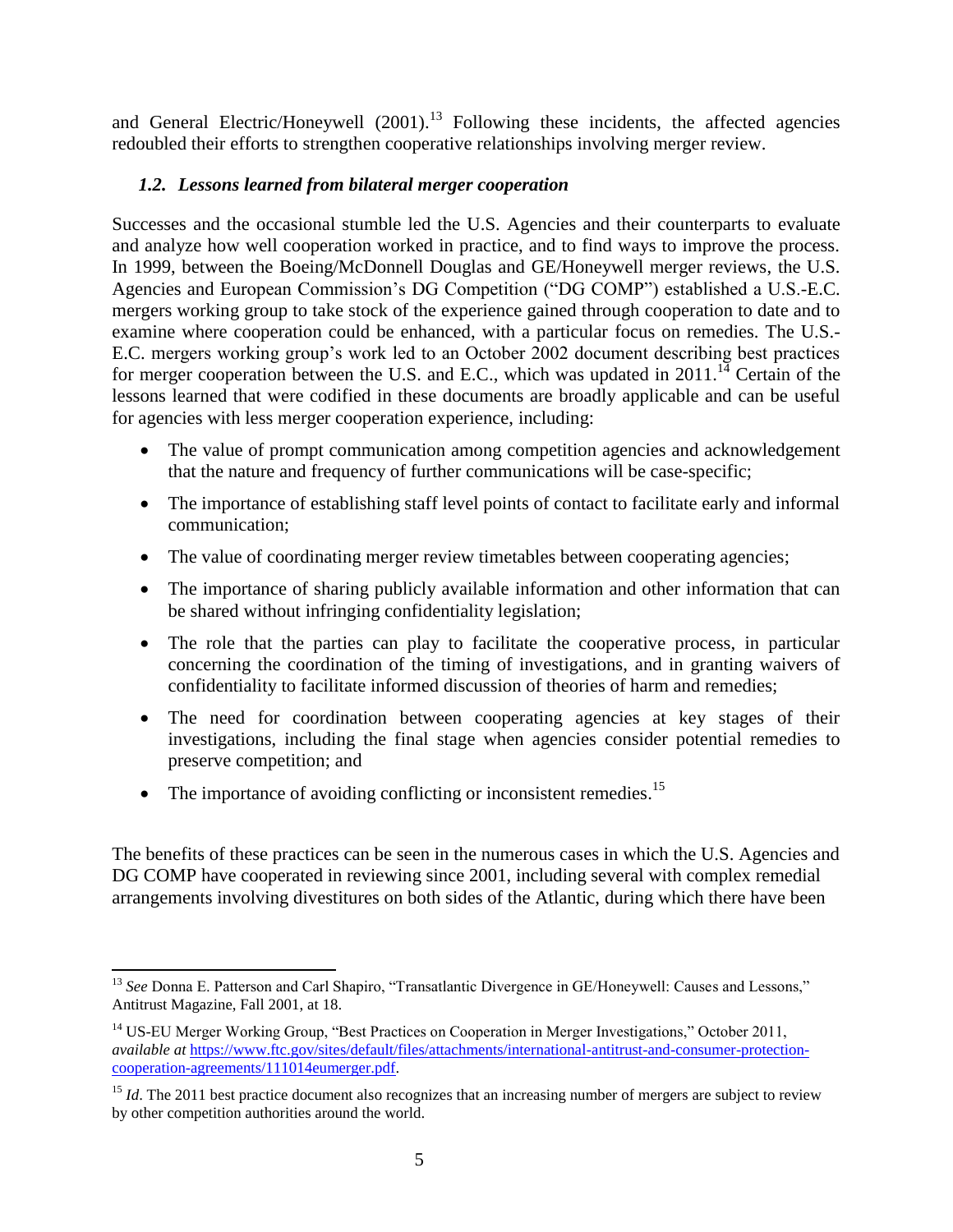and General Electric/Honeywell  $(2001)$ .<sup>13</sup> Following these incidents, the affected agencies redoubled their efforts to strengthen cooperative relationships involving merger review.

#### *1.2. Lessons learned from bilateral merger cooperation*

Successes and the occasional stumble led the U.S. Agencies and their counterparts to evaluate and analyze how well cooperation worked in practice, and to find ways to improve the process. In 1999, between the Boeing/McDonnell Douglas and GE/Honeywell merger reviews, the U.S. Agencies and European Commission's DG Competition ("DG COMP") established a U.S.-E.C. mergers working group to take stock of the experience gained through cooperation to date and to examine where cooperation could be enhanced, with a particular focus on remedies. The U.S.- E.C. mergers working group's work led to an October 2002 document describing best practices for merger cooperation between the U.S. and E.C., which was updated in 2011.<sup>14</sup> Certain of the lessons learned that were codified in these documents are broadly applicable and can be useful for agencies with less merger cooperation experience, including:

- The value of prompt communication among competition agencies and acknowledgement that the nature and frequency of further communications will be case-specific;
- The importance of establishing staff level points of contact to facilitate early and informal communication;
- The value of coordinating merger review timetables between cooperating agencies;
- The importance of sharing publicly available information and other information that can be shared without infringing confidentiality legislation;
- The role that the parties can play to facilitate the cooperative process, in particular concerning the coordination of the timing of investigations, and in granting waivers of confidentiality to facilitate informed discussion of theories of harm and remedies;
- The need for coordination between cooperating agencies at key stages of their investigations, including the final stage when agencies consider potential remedies to preserve competition; and
- $\bullet$  The importance of avoiding conflicting or inconsistent remedies.<sup>15</sup>

The benefits of these practices can be seen in the numerous cases in which the U.S. Agencies and DG COMP have cooperated in reviewing since 2001, including several with complex remedial arrangements involving divestitures on both sides of the Atlantic, during which there have been

l <sup>13</sup> See Donna E. Patterson and Carl Shapiro, "Transatlantic Divergence in GE/Honeywell: Causes and Lessons," Antitrust Magazine, Fall 2001, at 18.

<sup>&</sup>lt;sup>14</sup> US-EU Merger Working Group, "Best Practices on Cooperation in Merger Investigations," October 2011, *available at* [https://www.ftc.gov/sites/default/files/attachments/international-antitrust-and-consumer-protection](https://www.ftc.gov/sites/default/files/attachments/international-antitrust-and-consumer-protection-cooperation-agreements/111014eumerger.pdf)[cooperation-agreements/111014eumerger.pdf.](https://www.ftc.gov/sites/default/files/attachments/international-antitrust-and-consumer-protection-cooperation-agreements/111014eumerger.pdf) 

<sup>&</sup>lt;sup>15</sup> *Id*. The 2011 best practice document also recognizes that an increasing number of mergers are subject to review by other competition authorities around the world.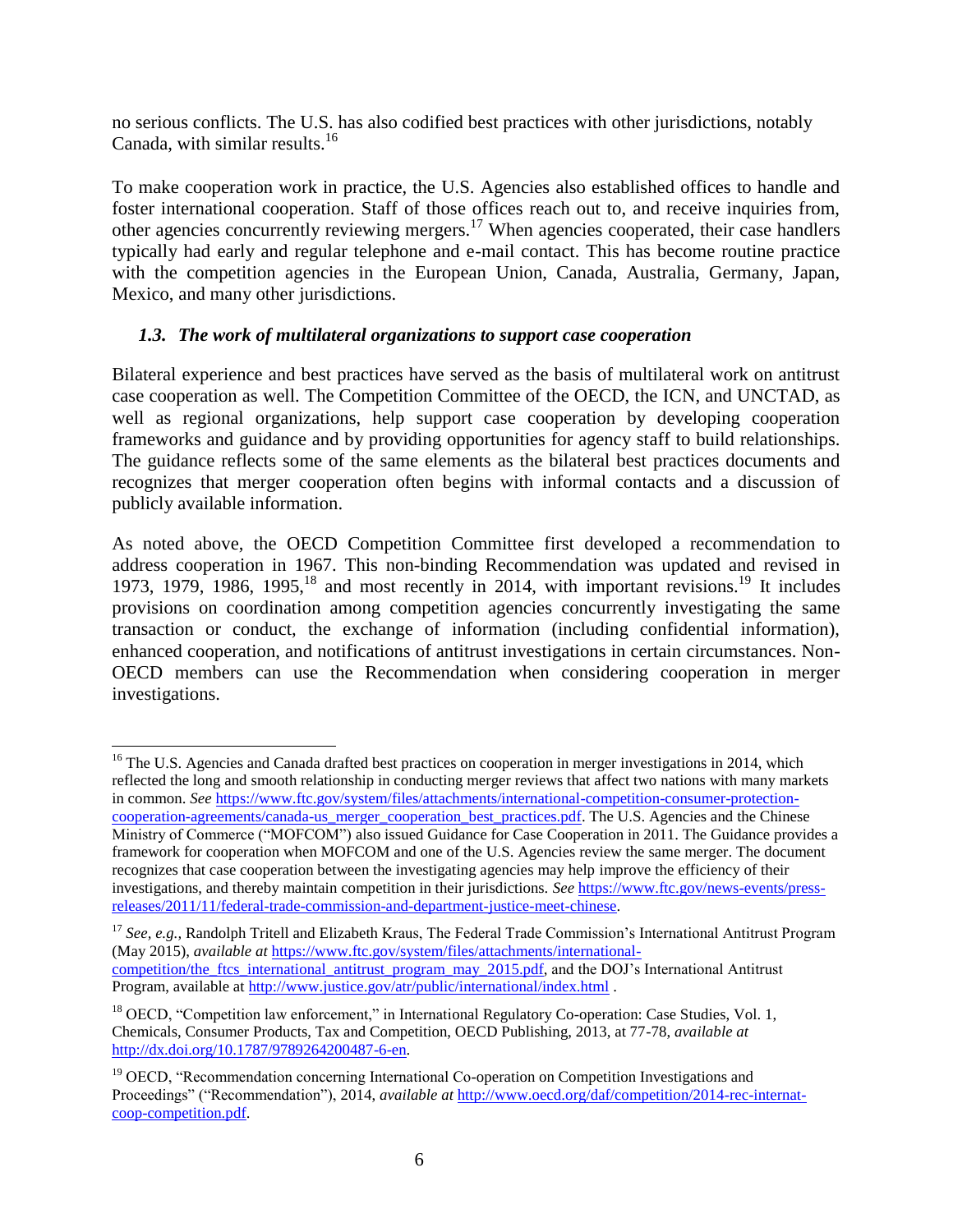no serious conflicts. The U.S. has also codified best practices with other jurisdictions, notably Canada, with similar results. $^{16}$ 

To make cooperation work in practice, the U.S. Agencies also established offices to handle and foster international cooperation. Staff of those offices reach out to, and receive inquiries from, other agencies concurrently reviewing mergers.<sup>17</sup> When agencies cooperated, their case handlers typically had early and regular telephone and e-mail contact. This has become routine practice with the competition agencies in the European Union, Canada, Australia, Germany, Japan, Mexico, and many other jurisdictions.

#### *1.3. The work of multilateral organizations to support case cooperation*

Bilateral experience and best practices have served as the basis of multilateral work on antitrust case cooperation as well. The Competition Committee of the OECD, the ICN, and UNCTAD, as well as regional organizations, help support case cooperation by developing cooperation frameworks and guidance and by providing opportunities for agency staff to build relationships. The guidance reflects some of the same elements as the bilateral best practices documents and recognizes that merger cooperation often begins with informal contacts and a discussion of publicly available information.

As noted above, the OECD Competition Committee first developed a recommendation to address cooperation in 1967. This non-binding Recommendation was updated and revised in 1973, 1979, 1986, 1995, <sup>18</sup> and most recently in 2014, with important revisions.<sup>19</sup> It includes provisions on coordination among competition agencies concurrently investigating the same transaction or conduct, the exchange of information (including confidential information), enhanced cooperation, and notifications of antitrust investigations in certain circumstances. Non-OECD members can use the Recommendation when considering cooperation in merger investigations.

 $\overline{\phantom{a}}$ 

<sup>&</sup>lt;sup>16</sup> The U.S. Agencies and Canada drafted best practices on cooperation in merger investigations in 2014, which reflected the long and smooth relationship in conducting merger reviews that affect two nations with many markets in common. *See* [https://www.ftc.gov/system/files/attachments/international-competition-consumer-protection](https://www.ftc.gov/system/files/attachments/international-competition-consumer-protection-cooperation-agreements/canada-us_merger_cooperation_best_practices.pdf)[cooperation-agreements/canada-us\\_merger\\_cooperation\\_best\\_practices.pdf.](https://www.ftc.gov/system/files/attachments/international-competition-consumer-protection-cooperation-agreements/canada-us_merger_cooperation_best_practices.pdf) The U.S. Agencies and the Chinese Ministry of Commerce ("MOFCOM") also issued Guidance for Case Cooperation in 2011. The Guidance provides a framework for cooperation when MOFCOM and one of the U.S. Agencies review the same merger. The document recognizes that case cooperation between the investigating agencies may help improve the efficiency of their investigations, and thereby maintain competition in their jurisdictions. *See* [https://www.ftc.gov/news-events/press](https://www.ftc.gov/news-events/press-releases/2011/11/federal-trade-commission-and-department-justice-meet-chinese)[releases/2011/11/federal-trade-commission-and-department-justice-meet-chinese.](https://www.ftc.gov/news-events/press-releases/2011/11/federal-trade-commission-and-department-justice-meet-chinese) 

<sup>&</sup>lt;sup>17</sup> See, e.g., Randolph Tritell and Elizabeth Kraus, The Federal Trade Commission's International Antitrust Program (May 2015), *available at* [https://www.ftc.gov/system/files/attachments/international](https://www.ftc.gov/system/files/attachments/international-competition/the_ftcs_international_antitrust_program_may_2015.pdf)[competition/the\\_ftcs\\_international\\_antitrust\\_program\\_may\\_2015.pdf,](https://www.ftc.gov/system/files/attachments/international-competition/the_ftcs_international_antitrust_program_may_2015.pdf) and the DOJ's International Antitrust Program, available a[t http://www.justice.gov/atr/public/international/index.html](http://www.justice.gov/atr/public/international/index.html).

 $18$  OECD, "Competition law enforcement," in International Regulatory Co-operation: Case Studies, Vol. 1, Chemicals, Consumer Products, Tax and Competition, OECD Publishing, 2013, at 77-78, *available at* [http://dx.doi.org/10.1787/9789264200487-6-en.](http://dx.doi.org/10.1787/9789264200487-6-en)

<sup>&</sup>lt;sup>19</sup> OECD, "Recommendation concerning International Co-operation on Competition Investigations and Proceedings" ("Recommendation"), 2014, *available at* [http://www.oecd.org/daf/competition/2014-rec-internat](http://www.oecd.org/daf/competition/2014-rec-internat-coop-competition.pdf)[coop-competition.pdf.](http://www.oecd.org/daf/competition/2014-rec-internat-coop-competition.pdf)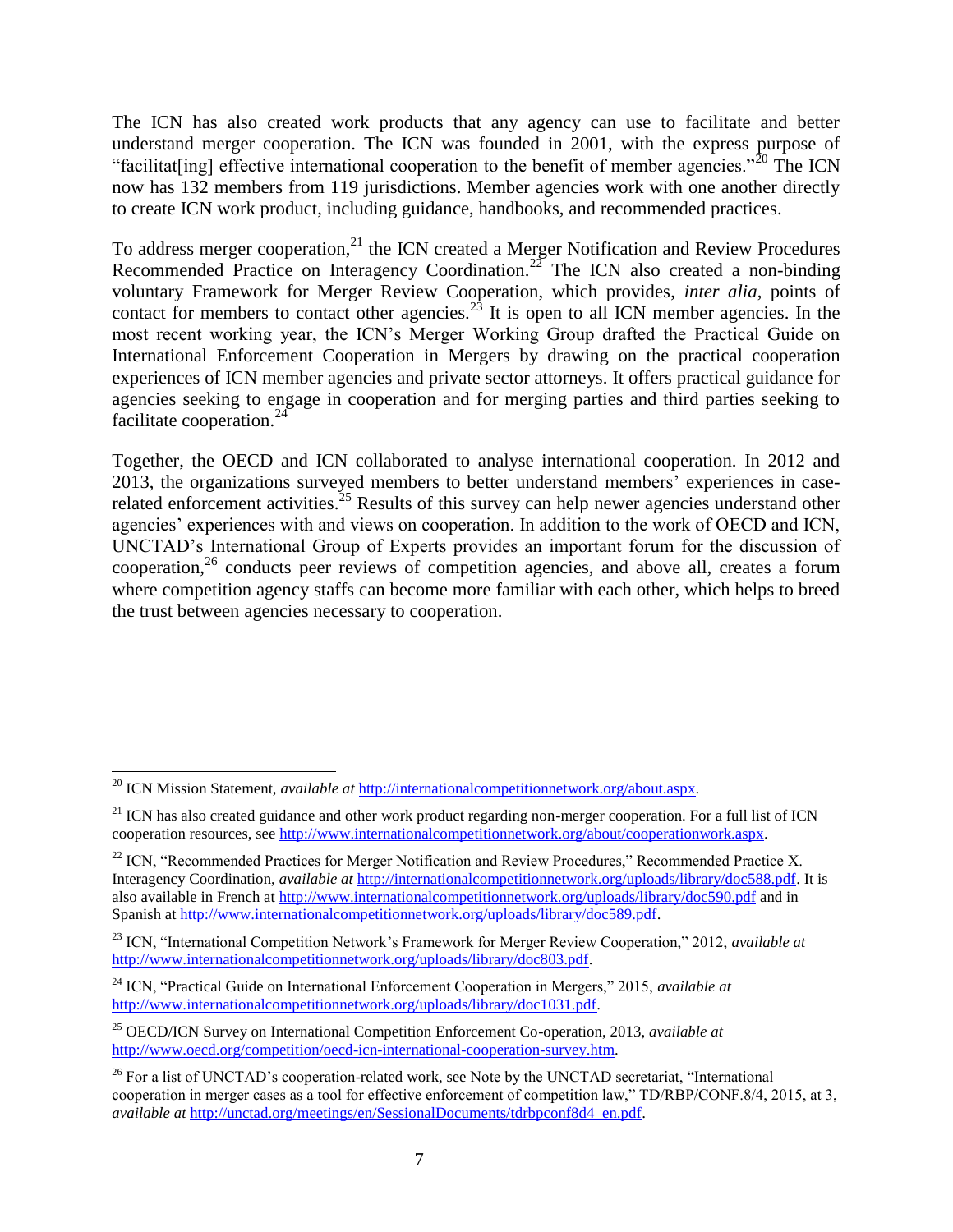The ICN has also created work products that any agency can use to facilitate and better understand merger cooperation. The ICN was founded in 2001, with the express purpose of "facilitat [ing] effective international cooperation to the benefit of member agencies."<sup>20</sup> The ICN now has 132 members from 119 jurisdictions. Member agencies work with one another directly to create ICN work product, including guidance, handbooks, and recommended practices.

To address merger cooperation,<sup>21</sup> the ICN created a Merger Notification and Review Procedures Recommended Practice on Interagency Coordination.<sup>22</sup> The ICN also created a non-binding voluntary Framework for Merger Review Cooperation, which provides, *inter alia*, points of contact for members to contact other agencies.<sup>23</sup> It is open to all ICN member agencies. In the most recent working year, the ICN's Merger Working Group drafted the Practical Guide on International Enforcement Cooperation in Mergers by drawing on the practical cooperation experiences of ICN member agencies and private sector attorneys. It offers practical guidance for agencies seeking to engage in cooperation and for merging parties and third parties seeking to facilitate cooperation.<sup>24</sup>

Together, the OECD and ICN collaborated to analyse international cooperation. In 2012 and 2013, the organizations surveyed members to better understand members' experiences in caserelated enforcement activities.<sup>25</sup> Results of this survey can help newer agencies understand other agencies' experiences with and views on cooperation. In addition to the work of OECD and ICN, UNCTAD's International Group of Experts provides an important forum for the discussion of cooperation,<sup>26</sup> conducts peer reviews of competition agencies, and above all, creates a forum where competition agency staffs can become more familiar with each other, which helps to breed the trust between agencies necessary to cooperation.

 $\overline{\phantom{a}}$ 

<sup>20</sup> ICN Mission Statement, *available at* [http://internationalcompetitionnetwork.org/about.aspx.](http://internationalcompetitionnetwork.org/about.aspx)

 $21$  ICN has also created guidance and other work product regarding non-merger cooperation. For a full list of ICN cooperation resources, se[e http://www.internationalcompetitionnetwork.org/about/cooperationwork.aspx.](http://www.internationalcompetitionnetwork.org/about/cooperationwork.aspx)

 $22$  ICN, "Recommended Practices for Merger Notification and Review Procedures," Recommended Practice X. Interagency Coordination, *available at* [http://internationalcompetitionnetwork.org/uploads/library/doc588.pdf.](http://internationalcompetitionnetwork.org/uploads/library/doc588.pdf) It is also available in French at<http://www.internationalcompetitionnetwork.org/uploads/library/doc590.pdf> and in Spanish at [http://www.internationalcompetitionnetwork.org/uploads/library/doc589.pdf.](http://www.internationalcompetitionnetwork.org/uploads/library/doc589.pdf)

<sup>23</sup> ICN, "International Competition Network's Framework for Merger Review Cooperation," 2012, *available at* [http://www.internationalcompetitionnetwork.org/uploads/library/doc803.pdf.](http://www.internationalcompetitionnetwork.org/uploads/library/doc803.pdf)

<sup>24</sup> ICN, "Practical Guide on International Enforcement Cooperation in Mergers," 2015, *available at* [http://www.internationalcompetitionnetwork.org/uploads/library/doc1031.pdf.](http://www.internationalcompetitionnetwork.org/uploads/library/doc1031.pdf)

<sup>25</sup> OECD/ICN Survey on International Competition Enforcement Co-operation, 2013, *available at*  [http://www.oecd.org/competition/oecd-icn-international-cooperation-survey.htm.](http://www.oecd.org/competition/oecd-icn-international-cooperation-survey.htm)

 $26$  For a list of UNCTAD's cooperation-related work, see Note by the UNCTAD secretariat, "International cooperation in merger cases as a tool for effective enforcement of competition law," TD/RBP/CONF.8/4, 2015, at 3, *available at* [http://unctad.org/meetings/en/SessionalDocuments/tdrbpconf8d4\\_en.pdf.](http://unctad.org/meetings/en/SessionalDocuments/tdrbpconf8d4_en.pdf)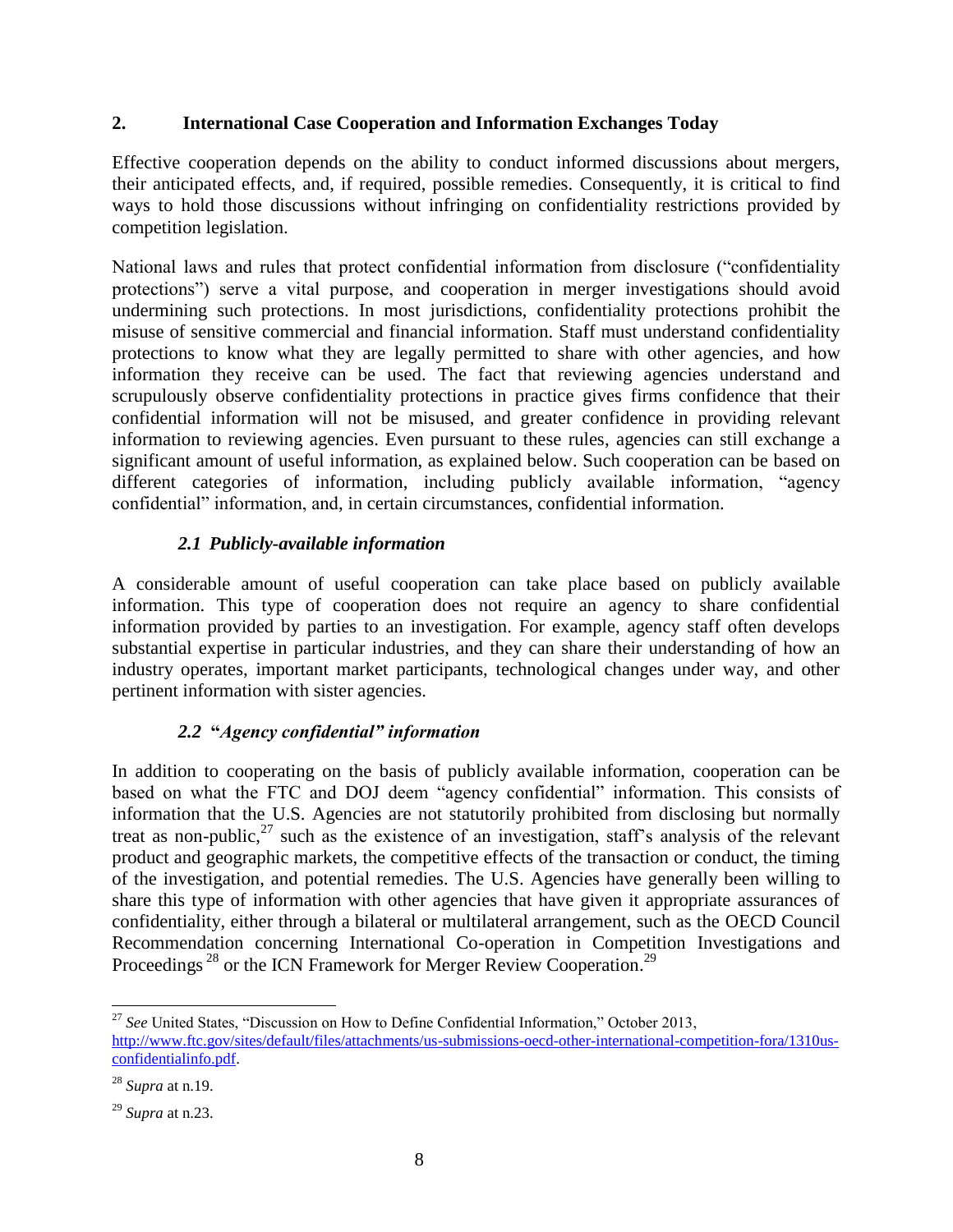#### **2. International Case Cooperation and Information Exchanges Today**

Effective cooperation depends on the ability to conduct informed discussions about mergers, their anticipated effects, and, if required, possible remedies. Consequently, it is critical to find ways to hold those discussions without infringing on confidentiality restrictions provided by competition legislation.

National laws and rules that protect confidential information from disclosure ("confidentiality protections") serve a vital purpose, and cooperation in merger investigations should avoid undermining such protections. In most jurisdictions, confidentiality protections prohibit the misuse of sensitive commercial and financial information. Staff must understand confidentiality protections to know what they are legally permitted to share with other agencies, and how information they receive can be used. The fact that reviewing agencies understand and scrupulously observe confidentiality protections in practice gives firms confidence that their confidential information will not be misused, and greater confidence in providing relevant information to reviewing agencies. Even pursuant to these rules, agencies can still exchange a significant amount of useful information, as explained below. Such cooperation can be based on different categories of information, including publicly available information, "agency confidential" information, and, in certain circumstances, confidential information.

#### *2.1 Publicly-available information*

A considerable amount of useful cooperation can take place based on publicly available information. This type of cooperation does not require an agency to share confidential information provided by parties to an investigation. For example, agency staff often develops substantial expertise in particular industries, and they can share their understanding of how an industry operates, important market participants, technological changes under way, and other pertinent information with sister agencies.

## *2.2* **"***Agency confidential" information*

In addition to cooperating on the basis of publicly available information, cooperation can be based on what the FTC and DOJ deem "agency confidential" information. This consists of information that the U.S. Agencies are not statutorily prohibited from disclosing but normally treat as non-public, $^{27}$  such as the existence of an investigation, staff's analysis of the relevant product and geographic markets, the competitive effects of the transaction or conduct, the timing of the investigation, and potential remedies. The U.S. Agencies have generally been willing to share this type of information with other agencies that have given it appropriate assurances of confidentiality, either through a bilateral or multilateral arrangement, such as the OECD Council Recommendation concerning International Co-operation in Competition Investigations and Proceedings<sup>28</sup> or the ICN Framework for Merger Review Cooperation.<sup>29</sup>

l

<sup>&</sup>lt;sup>27</sup> See United States, "Discussion on How to Define Confidential Information," October 2013, [http://www.ftc.gov/sites/default/files/attachments/us-submissions-oecd-other-international-competition-fora/1310us](http://www.ftc.gov/sites/default/files/attachments/us-submissions-oecd-other-international-competition-fora/1310us-confidentialinfo.pdf)[confidentialinfo.pdf.](http://www.ftc.gov/sites/default/files/attachments/us-submissions-oecd-other-international-competition-fora/1310us-confidentialinfo.pdf)

<sup>28</sup> *Supra* at n.19.

<sup>29</sup> *Supra* at n.23.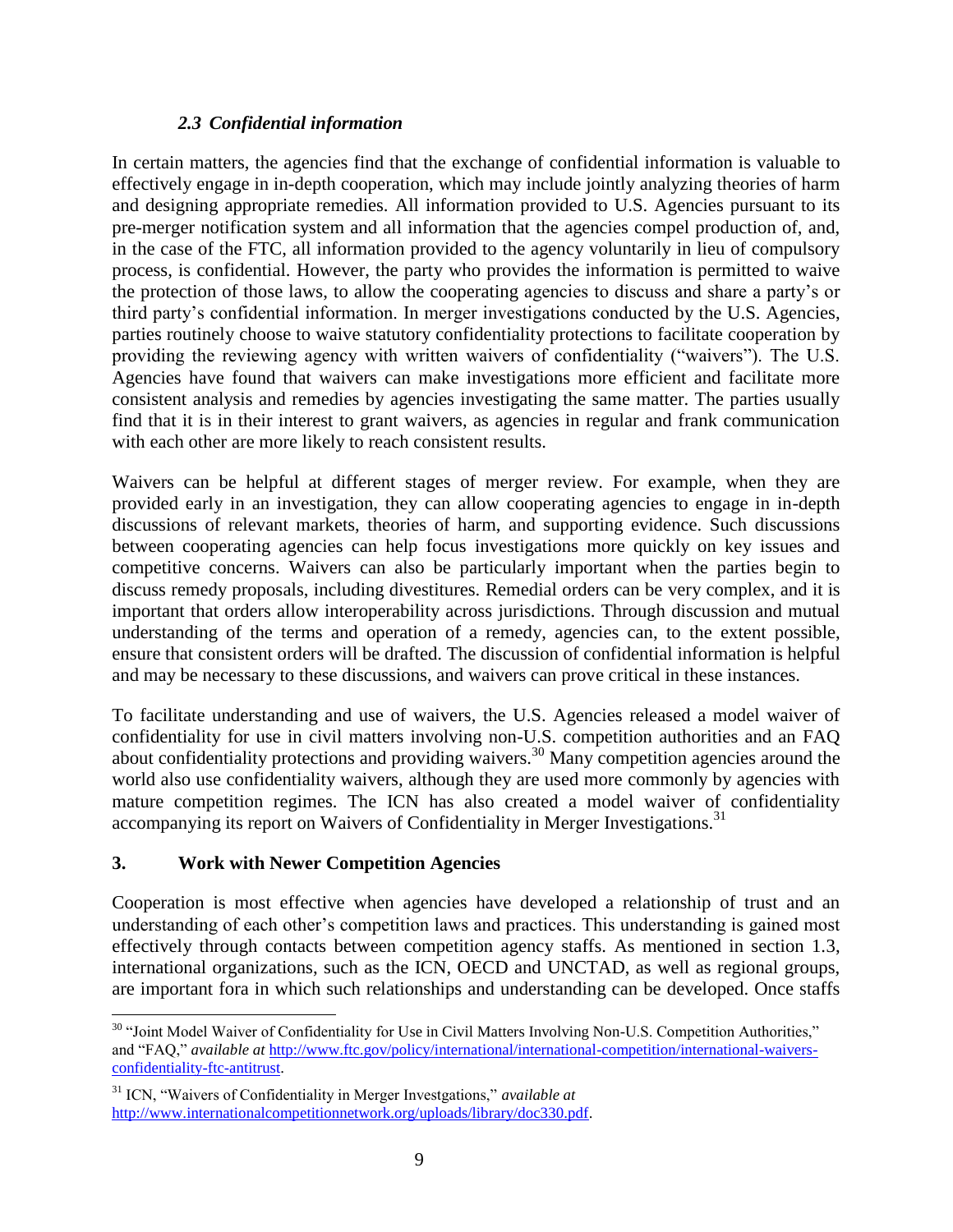#### *2.3 Confidential information*

In certain matters, the agencies find that the exchange of confidential information is valuable to effectively engage in in-depth cooperation, which may include jointly analyzing theories of harm and designing appropriate remedies. All information provided to U.S. Agencies pursuant to its pre-merger notification system and all information that the agencies compel production of, and, in the case of the FTC, all information provided to the agency voluntarily in lieu of compulsory process, is confidential. However, the party who provides the information is permitted to waive the protection of those laws, to allow the cooperating agencies to discuss and share a party's or third party's confidential information. In merger investigations conducted by the U.S. Agencies, parties routinely choose to waive statutory confidentiality protections to facilitate cooperation by providing the reviewing agency with written waivers of confidentiality ("waivers"). The U.S. Agencies have found that waivers can make investigations more efficient and facilitate more consistent analysis and remedies by agencies investigating the same matter. The parties usually find that it is in their interest to grant waivers, as agencies in regular and frank communication with each other are more likely to reach consistent results.

Waivers can be helpful at different stages of merger review. For example, when they are provided early in an investigation, they can allow cooperating agencies to engage in in-depth discussions of relevant markets, theories of harm, and supporting evidence. Such discussions between cooperating agencies can help focus investigations more quickly on key issues and competitive concerns. Waivers can also be particularly important when the parties begin to discuss remedy proposals, including divestitures. Remedial orders can be very complex, and it is important that orders allow interoperability across jurisdictions. Through discussion and mutual understanding of the terms and operation of a remedy, agencies can, to the extent possible, ensure that consistent orders will be drafted. The discussion of confidential information is helpful and may be necessary to these discussions, and waivers can prove critical in these instances.

To facilitate understanding and use of waivers, the U.S. Agencies released a model waiver of confidentiality for use in civil matters involving non-U.S. competition authorities and an FAQ about confidentiality protections and providing waivers.<sup>30</sup> Many competition agencies around the world also use confidentiality waivers, although they are used more commonly by agencies with mature competition regimes. The ICN has also created a model waiver of confidentiality accompanying its report on Waivers of Confidentiality in Merger Investigations.<sup>31</sup>

#### **3. Work with Newer Competition Agencies**

l

Cooperation is most effective when agencies have developed a relationship of trust and an understanding of each other's competition laws and practices. This understanding is gained most effectively through contacts between competition agency staffs. As mentioned in section 1.3, international organizations, such as the ICN, OECD and UNCTAD, as well as regional groups, are important fora in which such relationships and understanding can be developed. Once staffs

<sup>&</sup>lt;sup>30</sup> "Joint Model Waiver of Confidentiality for Use in Civil Matters Involving Non-U.S. Competition Authorities," and "FAQ," *available at* [http://www.ftc.gov/policy/international/international-competition/international-waivers](http://www.ftc.gov/policy/international/international-competition/international-waivers-confidentiality-ftc-antitrust)[confidentiality-ftc-antitrust.](http://www.ftc.gov/policy/international/international-competition/international-waivers-confidentiality-ftc-antitrust) 

<sup>31</sup> [ICN, "Waivers of Confidentiality in Merger Investgations,"](http://www.internationalcompetitionnetwork.org/uploads/library/doc330.pdf) *available at* [http://www.internationalcompetitionnetwork.org/uploads/library/doc330.pdf.](http://www.internationalcompetitionnetwork.org/uploads/library/doc330.pdf)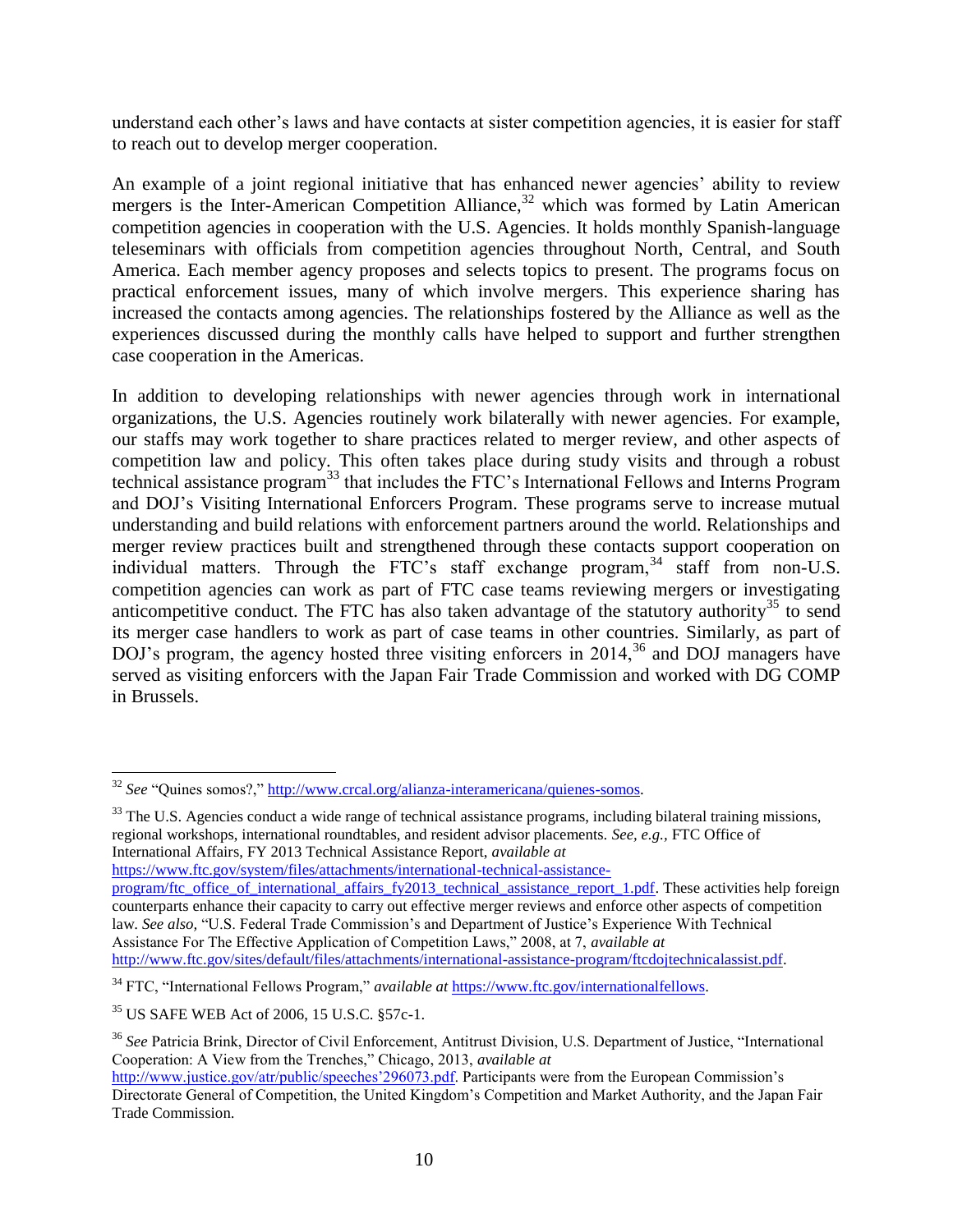understand each other's laws and have contacts at sister competition agencies, it is easier for staff to reach out to develop merger cooperation.

An example of a joint regional initiative that has enhanced newer agencies' ability to review mergers is the Inter-American Competition Alliance, $32$  which was formed by Latin American competition agencies in cooperation with the U.S. Agencies. It holds monthly Spanish-language teleseminars with officials from competition agencies throughout North, Central, and South America. Each member agency proposes and selects topics to present. The programs focus on practical enforcement issues, many of which involve mergers. This experience sharing has increased the contacts among agencies. The relationships fostered by the Alliance as well as the experiences discussed during the monthly calls have helped to support and further strengthen case cooperation in the Americas.

In addition to developing relationships with newer agencies through work in international organizations, the U.S. Agencies routinely work bilaterally with newer agencies. For example, our staffs may work together to share practices related to merger review, and other aspects of competition law and policy. This often takes place during study visits and through a robust technical assistance program<sup>33</sup> that includes the FTC's International Fellows and Interns Program and DOJ's Visiting International Enforcers Program. These programs serve to increase mutual understanding and build relations with enforcement partners around the world. Relationships and merger review practices built and strengthened through these contacts support cooperation on individual matters. Through the FTC's staff exchange program,<sup>34</sup> staff from non-U.S. competition agencies can work as part of FTC case teams reviewing mergers or investigating anticompetitive conduct. The FTC has also taken advantage of the statutory authority<sup>35</sup> to send its merger case handlers to work as part of case teams in other countries. Similarly, as part of DOJ's program, the agency hosted three visiting enforcers in 2014,<sup>36</sup> and DOJ managers have served as visiting enforcers with the Japan Fair Trade Commission and worked with DG COMP in Brussels.

<sup>33</sup> The U.S. Agencies conduct a wide range of technical assistance programs, including bilateral training missions, regional workshops, international roundtables, and resident advisor placements. *See, e.g.,* FTC Office of International Affairs, FY 2013 Technical Assistance Report, *available at* 

```
https://www.ftc.gov/system/files/attachments/international-technical-assistance-
```
[program/ftc\\_office\\_of\\_international\\_affairs\\_fy2013\\_technical\\_assistance\\_report\\_1.pdf.](https://www.ftc.gov/system/files/attachments/international-technical-assistance-program/ftc_office_of_international_affairs_fy2013_technical_assistance_report_1.pdf) These activities help foreign counterparts enhance their capacity to carry out effective merger reviews and enforce other aspects of competition law. *See also,* "U.S. Federal Trade Commission's and Department of Justice's Experience With Technical Assistance For The Effective Application of Competition Laws," 2008, at 7, *available at* [http://www.ftc.gov/sites/default/files/attachments/international-assistance-program/ftcdojtechnicalassist.pdf.](http://www.ftc.gov/sites/default/files/attachments/international-assistance-program/ftcdojtechnicalassist.pdf)

l

<sup>32</sup> *See* "Quines somos?," [http://www.crcal.org/alianza-interamericana/quienes-somos.](http://www.crcal.org/alianza-interamericana/quienes-somos) 

<sup>34</sup> FTC, "International Fellows Program," *available at* [https://www.ftc.gov/internationalfellows.](https://www.ftc.gov/internationalfellows)

<sup>35</sup> US SAFE WEB Act of 2006, 15 U.S.C. §57c-1.

<sup>36</sup> *See* Patricia Brink, Director of Civil Enforcement, Antitrust Division, U.S. Department of Justice, "International Cooperation: A View from the Trenches," Chicago, 2013, *available at*

[http://www.justice.gov/atr/public/speeches'296073.pdf.](http://www.justice.gov/atr/public/speeches) Participants were from the European Commission's Directorate General of Competition, the United Kingdom's Competition and Market Authority, and the Japan Fair Trade Commission.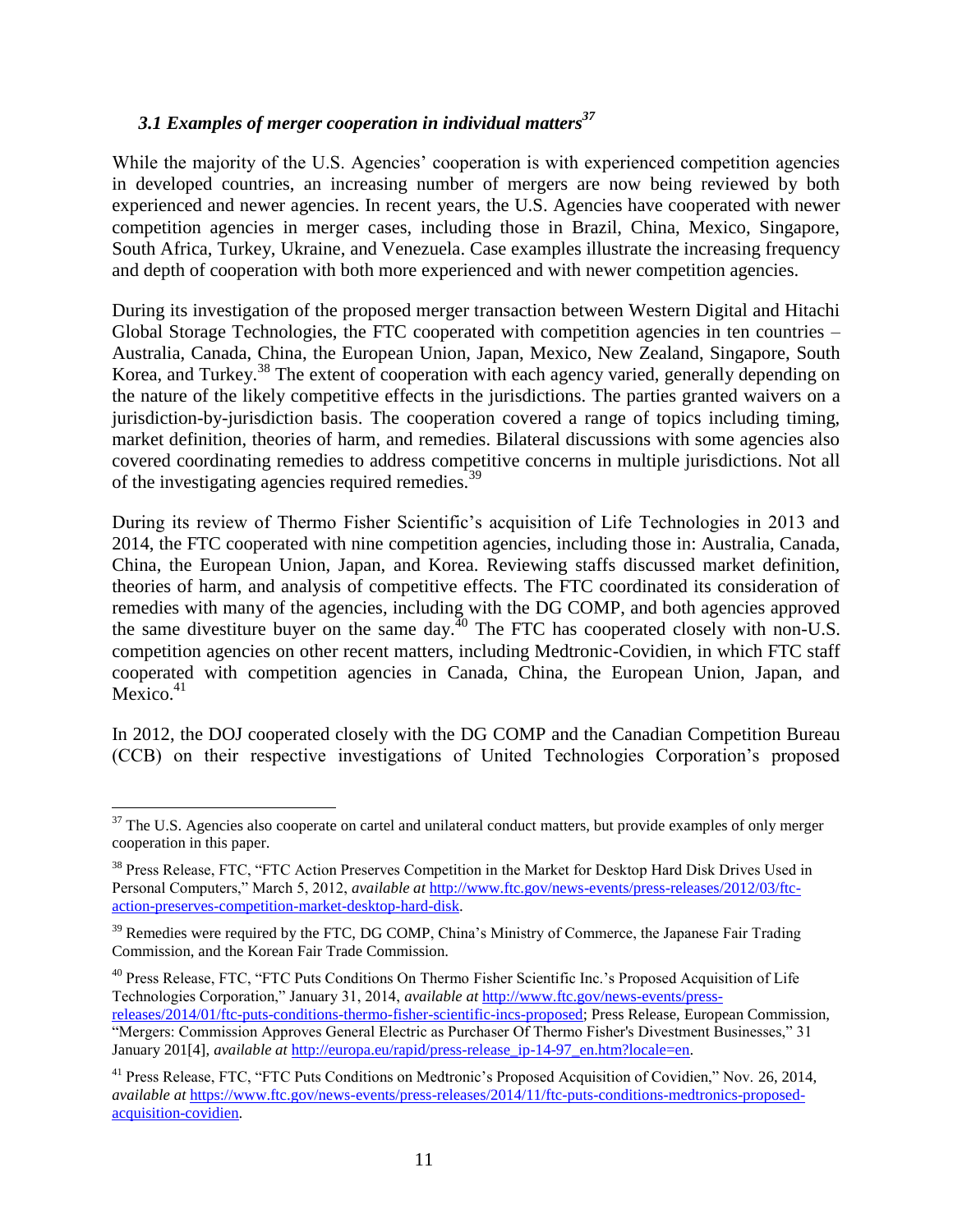# *3.1 Examples of merger cooperation in individual matters<sup>37</sup>*

While the majority of the U.S. Agencies' cooperation is with experienced competition agencies in developed countries, an increasing number of mergers are now being reviewed by both experienced and newer agencies. In recent years, the U.S. Agencies have cooperated with newer competition agencies in merger cases, including those in Brazil, China, Mexico, Singapore, South Africa, Turkey, Ukraine, and Venezuela. Case examples illustrate the increasing frequency and depth of cooperation with both more experienced and with newer competition agencies.

During its investigation of the proposed merger transaction between Western Digital and Hitachi Global Storage Technologies, the FTC cooperated with competition agencies in ten countries – Australia, Canada, China, the European Union, Japan, Mexico, New Zealand, Singapore, South Korea, and Turkey.<sup>38</sup> The extent of cooperation with each agency varied, generally depending on the nature of the likely competitive effects in the jurisdictions. The parties granted waivers on a jurisdiction-by-jurisdiction basis. The cooperation covered a range of topics including timing, market definition, theories of harm, and remedies. Bilateral discussions with some agencies also covered coordinating remedies to address competitive concerns in multiple jurisdictions. Not all of the investigating agencies required remedies.<sup>39</sup>

During its review of Thermo Fisher Scientific's acquisition of Life Technologies in 2013 and 2014, the FTC cooperated with nine competition agencies, including those in: Australia, Canada, China, the European Union, Japan, and Korea. Reviewing staffs discussed market definition, theories of harm, and analysis of competitive effects. The FTC coordinated its consideration of remedies with many of the agencies, including with the DG COMP, and both agencies approved the same divestiture buyer on the same day.<sup>40</sup> The FTC has cooperated closely with non-U.S. competition agencies on other recent matters, including Medtronic-Covidien, in which FTC staff cooperated with competition agencies in Canada, China, the European Union, Japan, and Mexico.<sup>41</sup>

In 2012, the DOJ cooperated closely with the DG COMP and the Canadian Competition Bureau (CCB) on their respective investigations of United Technologies Corporation's proposed

l

<sup>40</sup> Press Release, FTC, "FTC Puts Conditions On Thermo Fisher Scientific Inc.'s Proposed Acquisition of Life Technologies Corporation," January 31, 2014, *available at* [http://www.ftc.gov/news-events/press-](http://www.ftc.gov/news-events/press-releases/2014/01/ftc-puts-conditions-thermo-fisher-scientific-incs-proposed)

 $37$  The U.S. Agencies also cooperate on cartel and unilateral conduct matters, but provide examples of only merger cooperation in this paper.

<sup>&</sup>lt;sup>38</sup> Press Release, FTC, "FTC Action Preserves Competition in the Market for Desktop Hard Disk Drives Used in Personal Computers," March 5, 2012, *available at* [http://www.ftc.gov/news-events/press-releases/2012/03/ftc](http://www.ftc.gov/news-events/press-releases/2012/03/ftc-action-preserves-competition-market-desktop-hard-disk)[action-preserves-competition-market-desktop-hard-disk.](http://www.ftc.gov/news-events/press-releases/2012/03/ftc-action-preserves-competition-market-desktop-hard-disk)

<sup>&</sup>lt;sup>39</sup> Remedies were required by the FTC, DG COMP, China's Ministry of Commerce, the Japanese Fair Trading Commission, and the Korean Fair Trade Commission.

[releases/2014/01/ftc-puts-conditions-thermo-fisher-scientific-incs-proposed;](http://www.ftc.gov/news-events/press-releases/2014/01/ftc-puts-conditions-thermo-fisher-scientific-incs-proposed) Press Release, European Commission, "Mergers: Commission Approves General Electric as Purchaser Of Thermo Fisher's Divestment Businesses," 31 January 201<sup>[4]</sup>, *available at* http://europa.eu/rapid/press-release ip-14-97 en.htm?locale=en.

<sup>&</sup>lt;sup>41</sup> Press Release, FTC, "FTC Puts Conditions on Medtronic's Proposed Acquisition of Covidien," Nov. 26, 2014, *available at* [https://www.ftc.gov/news-events/press-releases/2014/11/ftc-puts-conditions-medtronics-proposed](https://www.ftc.gov/news-events/press-releases/2014/11/ftc-puts-conditions-medtronics-proposed-acquisition-covidien)[acquisition-covidien.](https://www.ftc.gov/news-events/press-releases/2014/11/ftc-puts-conditions-medtronics-proposed-acquisition-covidien)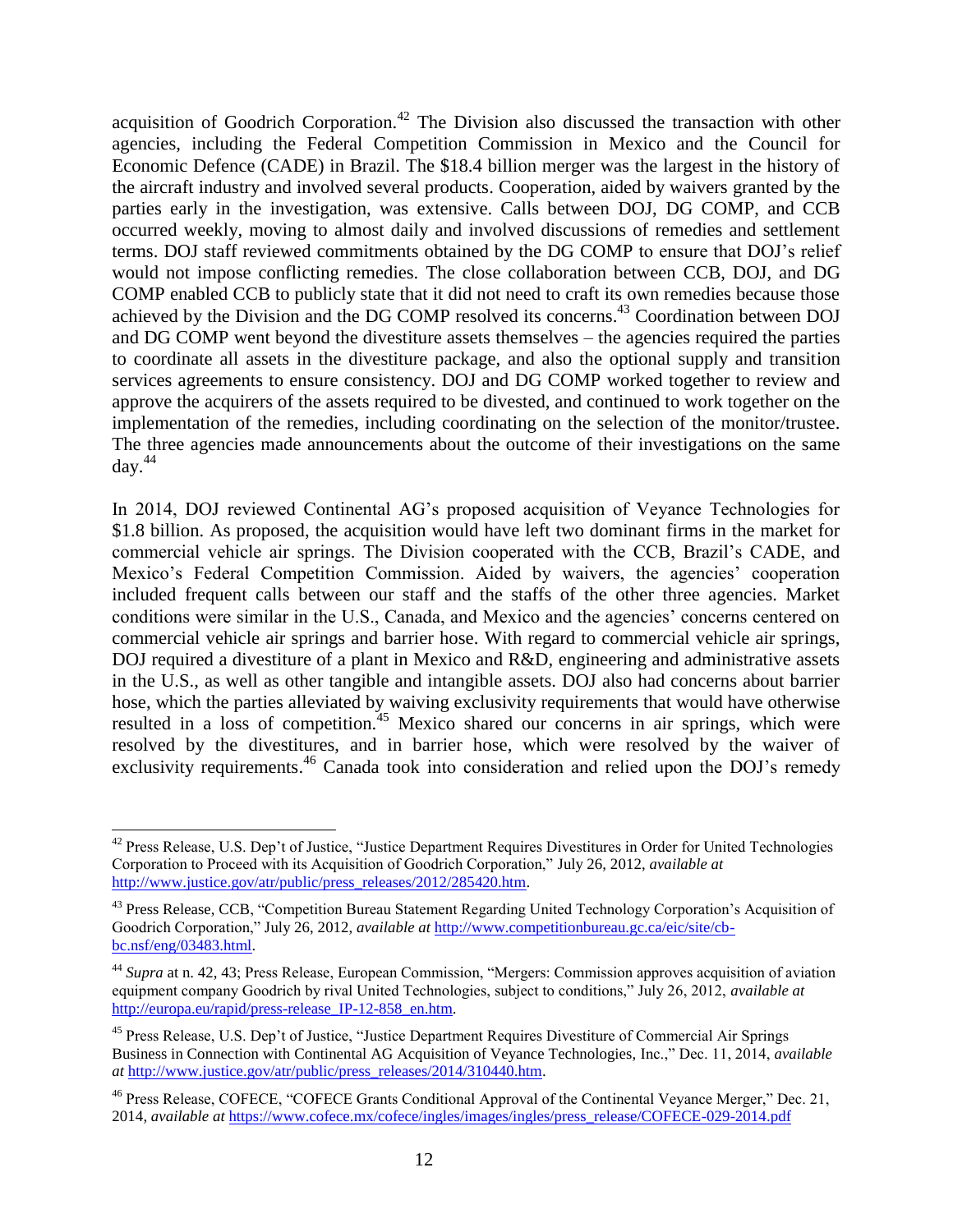acquisition of Goodrich Corporation.<sup>42</sup> The Division also discussed the transaction with other agencies, including the Federal Competition Commission in Mexico and the Council for Economic Defence (CADE) in Brazil. The \$18.4 billion merger was the largest in the history of the aircraft industry and involved several products. Cooperation, aided by waivers granted by the parties early in the investigation, was extensive. Calls between DOJ, DG COMP, and CCB occurred weekly, moving to almost daily and involved discussions of remedies and settlement terms. DOJ staff reviewed commitments obtained by the DG COMP to ensure that DOJ's relief would not impose conflicting remedies. The close collaboration between CCB, DOJ, and DG COMP enabled CCB to publicly state that it did not need to craft its own remedies because those achieved by the Division and the DG COMP resolved its concerns.<sup>43</sup> Coordination between DOJ and DG COMP went beyond the divestiture assets themselves – the agencies required the parties to coordinate all assets in the divestiture package, and also the optional supply and transition services agreements to ensure consistency. DOJ and DG COMP worked together to review and approve the acquirers of the assets required to be divested, and continued to work together on the implementation of the remedies, including coordinating on the selection of the monitor/trustee. The three agencies made announcements about the outcome of their investigations on the same  $day.<sup>44</sup>$ 

In 2014, DOJ reviewed Continental AG's proposed acquisition of Veyance Technologies for \$1.8 billion. As proposed, the acquisition would have left two dominant firms in the market for commercial vehicle air springs. The Division cooperated with the CCB, Brazil's CADE, and Mexico's Federal Competition Commission. Aided by waivers, the agencies' cooperation included frequent calls between our staff and the staffs of the other three agencies. Market conditions were similar in the U.S., Canada, and Mexico and the agencies' concerns centered on commercial vehicle air springs and barrier hose. With regard to commercial vehicle air springs, DOJ required a divestiture of a plant in Mexico and R&D, engineering and administrative assets in the U.S., as well as other tangible and intangible assets. DOJ also had concerns about barrier hose, which the parties alleviated by waiving exclusivity requirements that would have otherwise resulted in a loss of competition.<sup>45</sup> Mexico shared our concerns in air springs, which were resolved by the divestitures, and in barrier hose, which were resolved by the waiver of exclusivity requirements.<sup>46</sup> Canada took into consideration and relied upon the DOJ's remedy

 $\overline{a}$ 

<sup>&</sup>lt;sup>42</sup> Press Release, U.S. Dep't of Justice, "Justice Department Requires Divestitures in Order for United Technologies Corporation to Proceed with its Acquisition of Goodrich Corporation," July 26, 2012, *available at*  http://www.justice.gov/atr/public/press\_releases/2012/285420.htm.

<sup>&</sup>lt;sup>43</sup> Press Release, CCB, "Competition Bureau Statement Regarding United Technology Corporation's Acquisition of Goodrich Corporation," July 26, 2012, *available at* [http://www.competitionbureau.gc.ca/eic/site/cb](http://www.competitionbureau.gc.ca/eic/site/cb-bc.nsf/eng/03483.html)[bc.nsf/eng/03483.html.](http://www.competitionbureau.gc.ca/eic/site/cb-bc.nsf/eng/03483.html)

<sup>44</sup> *Supra* at n. 42, 43; Press Release, European Commission, "Mergers: Commission approves acquisition of aviation equipment company Goodrich by rival United Technologies, subject to conditions," July 26, 2012, *available at*  [http://europa.eu/rapid/press-release\\_IP-12-858\\_en.htm.](http://europa.eu/rapid/press-release_IP-12-858_en.htm)

<sup>45</sup> Press Release, U.S. Dep't of Justice, "Justice Department Requires Divestiture of Commercial Air Springs Business in Connection with Continental AG Acquisition of Veyance Technologies, Inc.," Dec. 11, 2014, *available at* [http://www.justice.gov/atr/public/press\\_releases/2014/310440.htm.](http://www.justice.gov/atr/public/press_releases/2014/310440.htm)

<sup>46</sup> Press Release, COFECE, "COFECE Grants Conditional Approval of the Continental Veyance Merger," Dec. 21, 2014, *available at* [https://www.cofece.mx/cofece/ingles/images/ingles/press\\_release/COFECE-029-2014.pdf](https://www.cofece.mx/cofece/ingles/images/ingles/press_release/COFECE-029-2014.pdf)